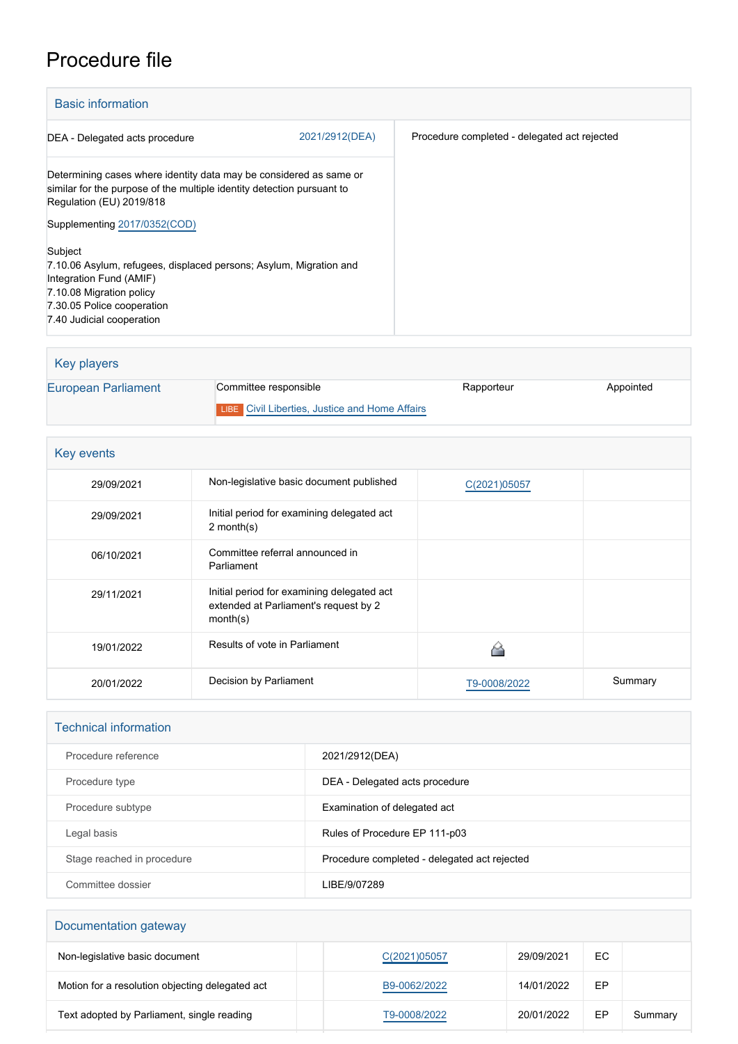## Procedure file

| <b>Basic information</b>                                                                                                                                                                                 |                |                                              |  |
|----------------------------------------------------------------------------------------------------------------------------------------------------------------------------------------------------------|----------------|----------------------------------------------|--|
| DEA - Delegated acts procedure                                                                                                                                                                           | 2021/2912(DEA) | Procedure completed - delegated act rejected |  |
| Determining cases where identity data may be considered as same or<br>similar for the purpose of the multiple identity detection pursuant to<br>Regulation (EU) 2019/818<br>Supplementing 2017/0352(COD) |                |                                              |  |
| Subject<br>7.10.06 Asylum, refugees, displaced persons; Asylum, Migration and<br>Integration Fund (AMIF)<br>7.10.08 Migration policy<br>7.30.05 Police cooperation<br>7.40 Judicial cooperation          |                |                                              |  |

| <b>Key players</b>  |                                                       |            |           |
|---------------------|-------------------------------------------------------|------------|-----------|
| European Parliament | Committee responsible                                 | Rapporteur | Appointed |
|                     | <b>LIBE</b> Civil Liberties, Justice and Home Affairs |            |           |

| Key events |                                                                                                 |              |         |  |
|------------|-------------------------------------------------------------------------------------------------|--------------|---------|--|
| 29/09/2021 | Non-legislative basic document published                                                        | C(2021)05057 |         |  |
| 29/09/2021 | Initial period for examining delegated act<br>2 month $(s)$                                     |              |         |  |
| 06/10/2021 | Committee referral announced in<br>Parliament                                                   |              |         |  |
| 29/11/2021 | Initial period for examining delegated act<br>extended at Parliament's request by 2<br>month(s) |              |         |  |
| 19/01/2022 | Results of vote in Parliament                                                                   |              |         |  |
| 20/01/2022 | Decision by Parliament                                                                          | T9-0008/2022 | Summary |  |

| <b>Technical information</b> |                                              |  |  |
|------------------------------|----------------------------------------------|--|--|
| Procedure reference          | 2021/2912(DEA)                               |  |  |
| Procedure type               | DEA - Delegated acts procedure               |  |  |
| Procedure subtype            | Examination of delegated act                 |  |  |
| Legal basis                  | Rules of Procedure EP 111-p03                |  |  |
| Stage reached in procedure   | Procedure completed - delegated act rejected |  |  |
| Committee dossier            | LIBE/9/07289                                 |  |  |

| Documentation gateway                           |              |            |    |         |  |
|-------------------------------------------------|--------------|------------|----|---------|--|
| Non-legislative basic document                  | C(2021)05057 | 29/09/2021 | EC |         |  |
| Motion for a resolution objecting delegated act | B9-0062/2022 | 14/01/2022 | EP |         |  |
| Text adopted by Parliament, single reading      | T9-0008/2022 | 20/01/2022 | EP | Summary |  |